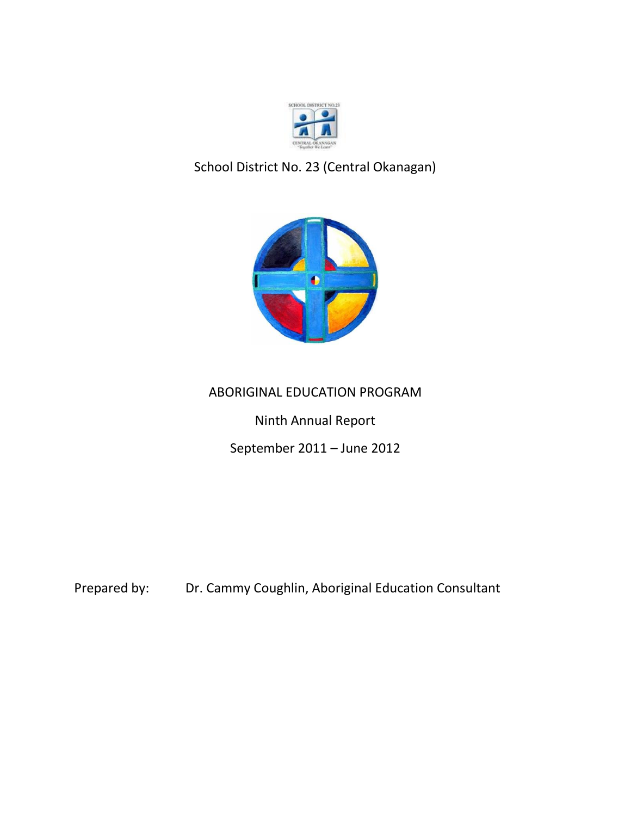

# School District No. 23 (Central Okanagan)



## ABORIGINAL EDUCATION PROGRAM

Ninth Annual Report

September 2011 – June 2012

Prepared by: Dr. Cammy Coughlin, Aboriginal Education Consultant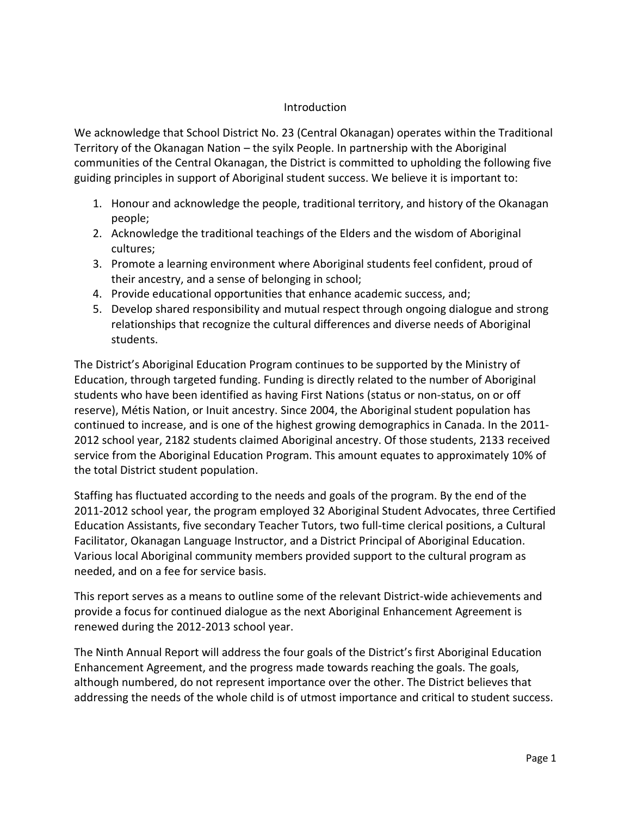## Introduction

We acknowledge that School District No. 23 (Central Okanagan) operates within the Traditional Territory of the Okanagan Nation – the syilx People. In partnership with the Aboriginal communities of the Central Okanagan, the District is committed to upholding the following five guiding principles in support of Aboriginal student success. We believe it is important to:

- 1. Honour and acknowledge the people, traditional territory, and history of the Okanagan people;
- 2. Acknowledge the traditional teachings of the Elders and the wisdom of Aboriginal cultures;
- 3. Promote a learning environment where Aboriginal students feel confident, proud of their ancestry, and a sense of belonging in school;
- 4. Provide educational opportunities that enhance academic success, and;
- 5. Develop shared responsibility and mutual respect through ongoing dialogue and strong relationships that recognize the cultural differences and diverse needs of Aboriginal students.

The District's Aboriginal Education Program continues to be supported by the Ministry of Education, through targeted funding. Funding is directly related to the number of Aboriginal students who have been identified as having First Nations (status or non-status, on or off reserve), Métis Nation, or Inuit ancestry. Since 2004, the Aboriginal student population has continued to increase, and is one of the highest growing demographics in Canada. In the 2011- 2012 school year, 2182 students claimed Aboriginal ancestry. Of those students, 2133 received service from the Aboriginal Education Program. This amount equates to approximately 10% of the total District student population.

Staffing has fluctuated according to the needs and goals of the program. By the end of the 2011-2012 school year, the program employed 32 Aboriginal Student Advocates, three Certified Education Assistants, five secondary Teacher Tutors, two full-time clerical positions, a Cultural Facilitator, Okanagan Language Instructor, and a District Principal of Aboriginal Education. Various local Aboriginal community members provided support to the cultural program as needed, and on a fee for service basis.

This report serves as a means to outline some of the relevant District-wide achievements and provide a focus for continued dialogue as the next Aboriginal Enhancement Agreement is renewed during the 2012-2013 school year.

The Ninth Annual Report will address the four goals of the District's first Aboriginal Education Enhancement Agreement, and the progress made towards reaching the goals. The goals, although numbered, do not represent importance over the other. The District believes that addressing the needs of the whole child is of utmost importance and critical to student success.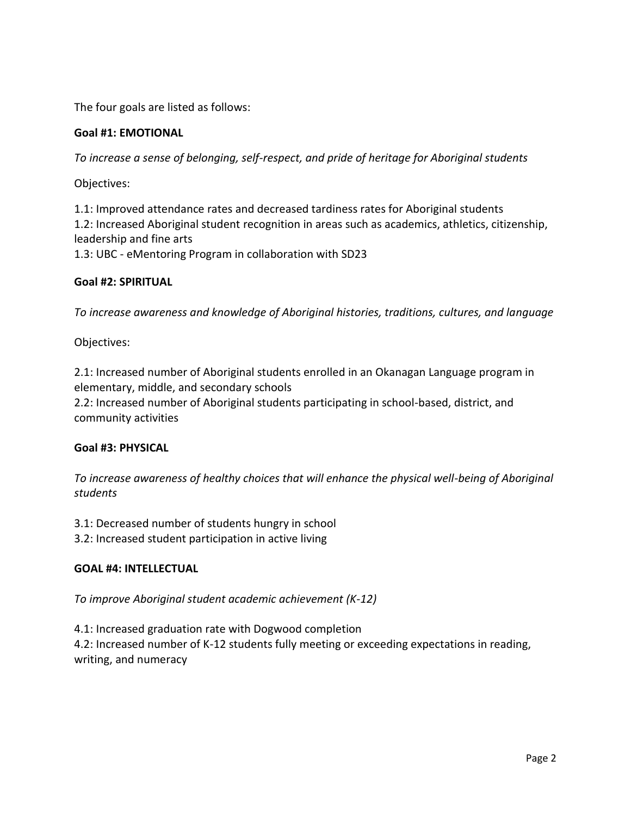The four goals are listed as follows:

## **Goal #1: EMOTIONAL**

*To increase a sense of belonging, self-respect, and pride of heritage for Aboriginal students*

Objectives:

1.1: Improved attendance rates and decreased tardiness rates for Aboriginal students 1.2: Increased Aboriginal student recognition in areas such as academics, athletics, citizenship, leadership and fine arts 1.3: UBC - eMentoring Program in collaboration with SD23

## **Goal #2: SPIRITUAL**

*To increase awareness and knowledge of Aboriginal histories, traditions, cultures, and language*

Objectives:

2.1: Increased number of Aboriginal students enrolled in an Okanagan Language program in elementary, middle, and secondary schools

2.2: Increased number of Aboriginal students participating in school-based, district, and community activities

## **Goal #3: PHYSICAL**

*To increase awareness of healthy choices that will enhance the physical well-being of Aboriginal students*

3.1: Decreased number of students hungry in school

3.2: Increased student participation in active living

## **GOAL #4: INTELLECTUAL**

*To improve Aboriginal student academic achievement (K-12)*

4.1: Increased graduation rate with Dogwood completion 4.2: Increased number of K-12 students fully meeting or exceeding expectations in reading,

writing, and numeracy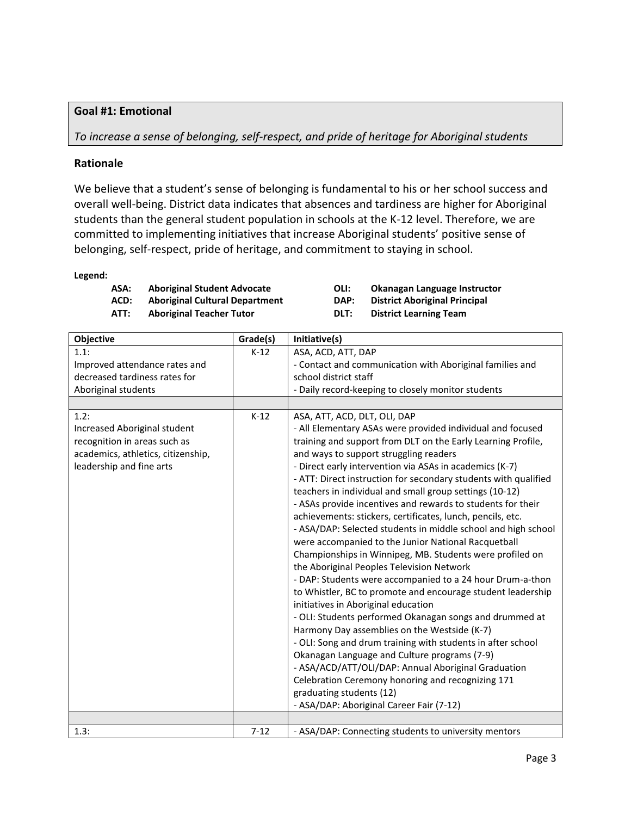## **Goal #1: Emotional**

*To increase a sense of belonging, self-respect, and pride of heritage for Aboriginal students*

#### **Rationale**

We believe that a student's sense of belonging is fundamental to his or her school success and overall well-being. District data indicates that absences and tardiness are higher for Aboriginal students than the general student population in schools at the K-12 level. Therefore, we are committed to implementing initiatives that increase Aboriginal students' positive sense of belonging, self-respect, pride of heritage, and commitment to staying in school.

#### **Legend:**

| ASA:        | <b>Aboriginal Student Advocate</b>    |
|-------------|---------------------------------------|
| ACD:        | <b>Aboriginal Cultural Department</b> |
| <b>ATT.</b> | Aboriginal Teacher Tutor              |

**ASA: Aboriginal Student Advocate OLI: Okanagan Language Instructor DAP:** District Aboriginal Principal **ATT: Aboriginal Teacher Tutor DLT: District Learning Team**

| Objective                          | Grade(s) | Initiative(s)                                                   |
|------------------------------------|----------|-----------------------------------------------------------------|
| 1.1:                               | $K-12$   | ASA, ACD, ATT, DAP                                              |
| Improved attendance rates and      |          | - Contact and communication with Aboriginal families and        |
| decreased tardiness rates for      |          | school district staff                                           |
| Aboriginal students                |          | - Daily record-keeping to closely monitor students              |
|                                    |          |                                                                 |
| 1.2:                               | $K-12$   | ASA, ATT, ACD, DLT, OLI, DAP                                    |
| Increased Aboriginal student       |          | - All Elementary ASAs were provided individual and focused      |
| recognition in areas such as       |          | training and support from DLT on the Early Learning Profile,    |
| academics, athletics, citizenship, |          | and ways to support struggling readers                          |
| leadership and fine arts           |          | - Direct early intervention via ASAs in academics (K-7)         |
|                                    |          | - ATT: Direct instruction for secondary students with qualified |
|                                    |          | teachers in individual and small group settings (10-12)         |
|                                    |          | - ASAs provide incentives and rewards to students for their     |
|                                    |          | achievements: stickers, certificates, lunch, pencils, etc.      |
|                                    |          | - ASA/DAP: Selected students in middle school and high school   |
|                                    |          | were accompanied to the Junior National Racquetball             |
|                                    |          | Championships in Winnipeg, MB. Students were profiled on        |
|                                    |          | the Aboriginal Peoples Television Network                       |
|                                    |          | - DAP: Students were accompanied to a 24 hour Drum-a-thon       |
|                                    |          | to Whistler, BC to promote and encourage student leadership     |
|                                    |          | initiatives in Aboriginal education                             |
|                                    |          | - OLI: Students performed Okanagan songs and drummed at         |
|                                    |          | Harmony Day assemblies on the Westside (K-7)                    |
|                                    |          | - OLI: Song and drum training with students in after school     |
|                                    |          | Okanagan Language and Culture programs (7-9)                    |
|                                    |          | - ASA/ACD/ATT/OLI/DAP: Annual Aboriginal Graduation             |
|                                    |          | Celebration Ceremony honoring and recognizing 171               |
|                                    |          | graduating students (12)                                        |
|                                    |          | - ASA/DAP: Aboriginal Career Fair (7-12)                        |
|                                    |          |                                                                 |
| 1.3:                               | $7 - 12$ | - ASA/DAP: Connecting students to university mentors            |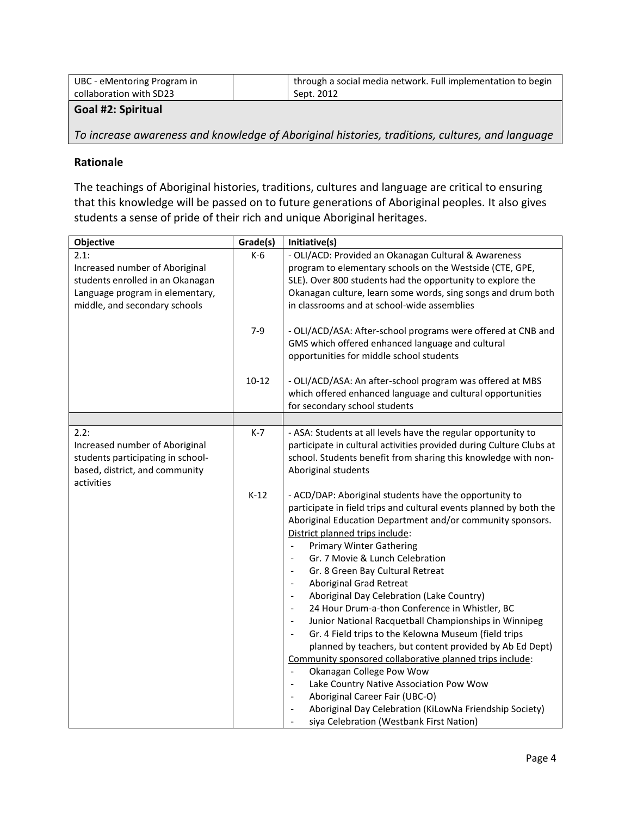| UBC - eMentoring Program in | through a social media network. Full implementation to begin |
|-----------------------------|--------------------------------------------------------------|
| collaboration with SD23     | Sept. 2012                                                   |
|                             |                                                              |

**Goal #2: Spiritual**

*To increase awareness and knowledge of Aboriginal histories, traditions, cultures, and language*

#### **Rationale**

The teachings of Aboriginal histories, traditions, cultures and language are critical to ensuring that this knowledge will be passed on to future generations of Aboriginal peoples. It also gives students a sense of pride of their rich and unique Aboriginal heritages.

| Objective                                                                                                                                      | Grade(s)  | Initiative(s)                                                                                                                                                                                                                                                                                                                                                                                                                                                                                                                                                                                                                                                                                                                                                                                                                                                                                                                                                                                                                                                                                                                                                                                                             |
|------------------------------------------------------------------------------------------------------------------------------------------------|-----------|---------------------------------------------------------------------------------------------------------------------------------------------------------------------------------------------------------------------------------------------------------------------------------------------------------------------------------------------------------------------------------------------------------------------------------------------------------------------------------------------------------------------------------------------------------------------------------------------------------------------------------------------------------------------------------------------------------------------------------------------------------------------------------------------------------------------------------------------------------------------------------------------------------------------------------------------------------------------------------------------------------------------------------------------------------------------------------------------------------------------------------------------------------------------------------------------------------------------------|
| 2.1:<br>Increased number of Aboriginal<br>students enrolled in an Okanagan<br>Language program in elementary,<br>middle, and secondary schools | $K-6$     | - OLI/ACD: Provided an Okanagan Cultural & Awareness<br>program to elementary schools on the Westside (CTE, GPE,<br>SLE). Over 800 students had the opportunity to explore the<br>Okanagan culture, learn some words, sing songs and drum both<br>in classrooms and at school-wide assemblies                                                                                                                                                                                                                                                                                                                                                                                                                                                                                                                                                                                                                                                                                                                                                                                                                                                                                                                             |
|                                                                                                                                                | $7-9$     | - OLI/ACD/ASA: After-school programs were offered at CNB and<br>GMS which offered enhanced language and cultural<br>opportunities for middle school students                                                                                                                                                                                                                                                                                                                                                                                                                                                                                                                                                                                                                                                                                                                                                                                                                                                                                                                                                                                                                                                              |
|                                                                                                                                                | $10 - 12$ | - OLI/ACD/ASA: An after-school program was offered at MBS<br>which offered enhanced language and cultural opportunities<br>for secondary school students                                                                                                                                                                                                                                                                                                                                                                                                                                                                                                                                                                                                                                                                                                                                                                                                                                                                                                                                                                                                                                                                  |
|                                                                                                                                                |           |                                                                                                                                                                                                                                                                                                                                                                                                                                                                                                                                                                                                                                                                                                                                                                                                                                                                                                                                                                                                                                                                                                                                                                                                                           |
| 2.2:<br>Increased number of Aboriginal<br>students participating in school-<br>based, district, and community<br>activities                    | $K-7$     | - ASA: Students at all levels have the regular opportunity to<br>participate in cultural activities provided during Culture Clubs at<br>school. Students benefit from sharing this knowledge with non-<br>Aboriginal students                                                                                                                                                                                                                                                                                                                                                                                                                                                                                                                                                                                                                                                                                                                                                                                                                                                                                                                                                                                             |
|                                                                                                                                                | $K-12$    | - ACD/DAP: Aboriginal students have the opportunity to<br>participate in field trips and cultural events planned by both the<br>Aboriginal Education Department and/or community sponsors.<br>District planned trips include:<br><b>Primary Winter Gathering</b><br>Gr. 7 Movie & Lunch Celebration<br>$\overline{\phantom{a}}$<br>Gr. 8 Green Bay Cultural Retreat<br>$\overline{\phantom{a}}$<br><b>Aboriginal Grad Retreat</b><br>$\overline{\phantom{a}}$<br>Aboriginal Day Celebration (Lake Country)<br>$\overline{\phantom{a}}$<br>24 Hour Drum-a-thon Conference in Whistler, BC<br>$\overline{\phantom{a}}$<br>Junior National Racquetball Championships in Winnipeg<br>$\overline{\phantom{a}}$<br>Gr. 4 Field trips to the Kelowna Museum (field trips<br>$\overline{\phantom{a}}$<br>planned by teachers, but content provided by Ab Ed Dept)<br>Community sponsored collaborative planned trips include:<br>Okanagan College Pow Wow<br>$\overline{\phantom{a}}$<br>Lake Country Native Association Pow Wow<br>$\overline{\phantom{a}}$<br>Aboriginal Career Fair (UBC-O)<br>$\overline{\phantom{a}}$<br>Aboriginal Day Celebration (KiLowNa Friendship Society)<br>siya Celebration (Westbank First Nation) |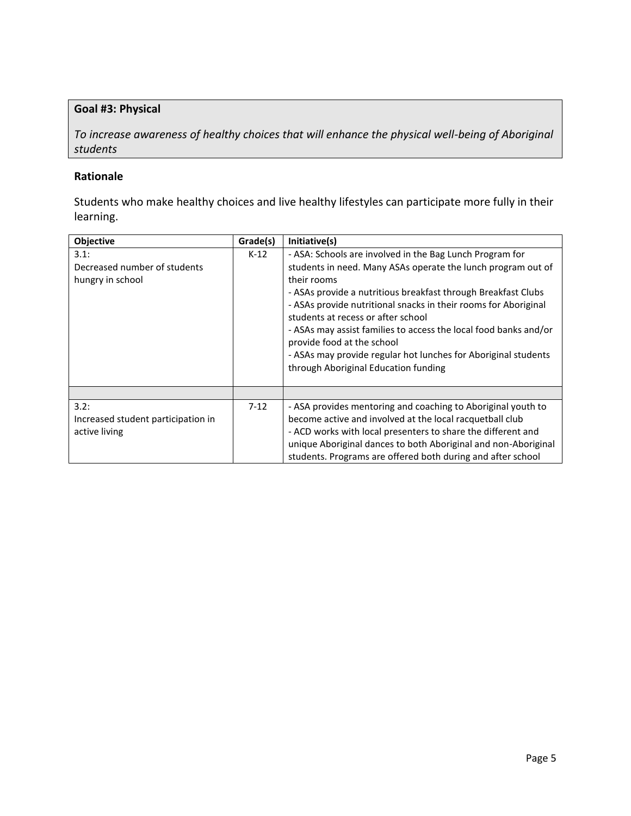## **Goal #3: Physical**

*To increase awareness of healthy choices that will enhance the physical well-being of Aboriginal students*

## **Rationale**

Students who make healthy choices and live healthy lifestyles can participate more fully in their learning.

| Objective                                                   | Grade(s) | Initiative(s)                                                                                                                                                                                                                                                                                                                                                                                                                                                                                                                 |
|-------------------------------------------------------------|----------|-------------------------------------------------------------------------------------------------------------------------------------------------------------------------------------------------------------------------------------------------------------------------------------------------------------------------------------------------------------------------------------------------------------------------------------------------------------------------------------------------------------------------------|
| 3.1:<br>Decreased number of students<br>hungry in school    | $K-12$   | - ASA: Schools are involved in the Bag Lunch Program for<br>students in need. Many ASAs operate the lunch program out of<br>their rooms<br>- ASAs provide a nutritious breakfast through Breakfast Clubs<br>- ASAs provide nutritional snacks in their rooms for Aboriginal<br>students at recess or after school<br>- ASAs may assist families to access the local food banks and/or<br>provide food at the school<br>- ASAs may provide regular hot lunches for Aboriginal students<br>through Aboriginal Education funding |
|                                                             |          |                                                                                                                                                                                                                                                                                                                                                                                                                                                                                                                               |
| 3.2:<br>Increased student participation in<br>active living | $7-12$   | - ASA provides mentoring and coaching to Aboriginal youth to<br>become active and involved at the local racquetball club<br>- ACD works with local presenters to share the different and<br>unique Aboriginal dances to both Aboriginal and non-Aboriginal<br>students. Programs are offered both during and after school                                                                                                                                                                                                     |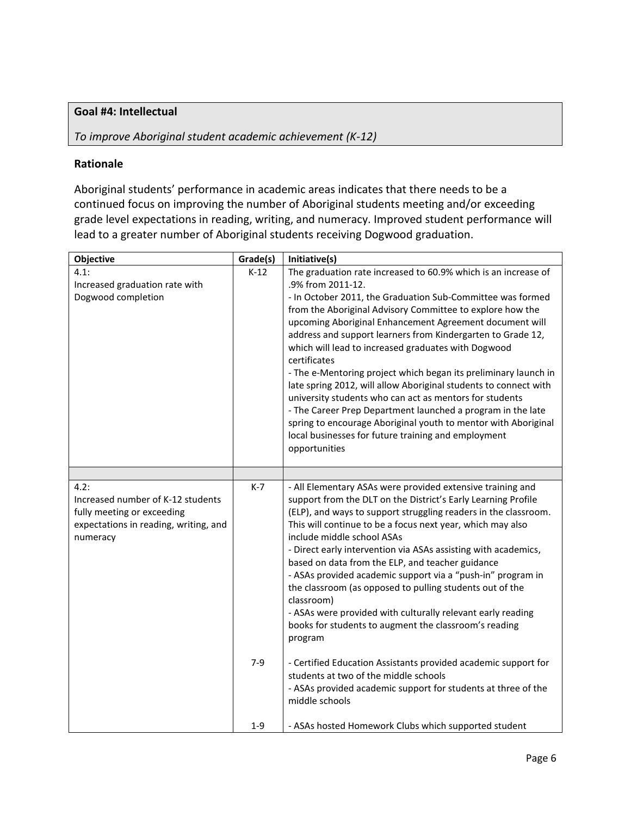## **Goal #4: Intellectual**

## *To improve Aboriginal student academic achievement (K-12)*

#### **Rationale**

Aboriginal students' performance in academic areas indicates that there needs to be a continued focus on improving the number of Aboriginal students meeting and/or exceeding grade level expectations in reading, writing, and numeracy. Improved student performance will lead to a greater number of Aboriginal students receiving Dogwood graduation.

| Objective                                                                                                                    | Grade(s) | Initiative(s)                                                                                                                                                                                                                                                                                                                                                                                                                                                                                                                                                                                                                                                                                                                                                                                                              |
|------------------------------------------------------------------------------------------------------------------------------|----------|----------------------------------------------------------------------------------------------------------------------------------------------------------------------------------------------------------------------------------------------------------------------------------------------------------------------------------------------------------------------------------------------------------------------------------------------------------------------------------------------------------------------------------------------------------------------------------------------------------------------------------------------------------------------------------------------------------------------------------------------------------------------------------------------------------------------------|
| 4.1:<br>Increased graduation rate with<br>Dogwood completion                                                                 | $K-12$   | The graduation rate increased to 60.9% which is an increase of<br>.9% from 2011-12.<br>- In October 2011, the Graduation Sub-Committee was formed<br>from the Aboriginal Advisory Committee to explore how the<br>upcoming Aboriginal Enhancement Agreement document will<br>address and support learners from Kindergarten to Grade 12,<br>which will lead to increased graduates with Dogwood<br>certificates<br>- The e-Mentoring project which began its preliminary launch in<br>late spring 2012, will allow Aboriginal students to connect with<br>university students who can act as mentors for students<br>- The Career Prep Department launched a program in the late<br>spring to encourage Aboriginal youth to mentor with Aboriginal<br>local businesses for future training and employment<br>opportunities |
|                                                                                                                              |          |                                                                                                                                                                                                                                                                                                                                                                                                                                                                                                                                                                                                                                                                                                                                                                                                                            |
| 4.2:<br>Increased number of K-12 students<br>fully meeting or exceeding<br>expectations in reading, writing, and<br>numeracy | $K-7$    | - All Elementary ASAs were provided extensive training and<br>support from the DLT on the District's Early Learning Profile<br>(ELP), and ways to support struggling readers in the classroom.<br>This will continue to be a focus next year, which may also<br>include middle school ASAs<br>- Direct early intervention via ASAs assisting with academics,<br>based on data from the ELP, and teacher guidance<br>- ASAs provided academic support via a "push-in" program in<br>the classroom (as opposed to pulling students out of the<br>classroom)<br>- ASAs were provided with culturally relevant early reading<br>books for students to augment the classroom's reading<br>program                                                                                                                               |
|                                                                                                                              | $7-9$    | - Certified Education Assistants provided academic support for<br>students at two of the middle schools<br>- ASAs provided academic support for students at three of the<br>middle schools                                                                                                                                                                                                                                                                                                                                                                                                                                                                                                                                                                                                                                 |
|                                                                                                                              | $1 - 9$  | - ASAs hosted Homework Clubs which supported student                                                                                                                                                                                                                                                                                                                                                                                                                                                                                                                                                                                                                                                                                                                                                                       |